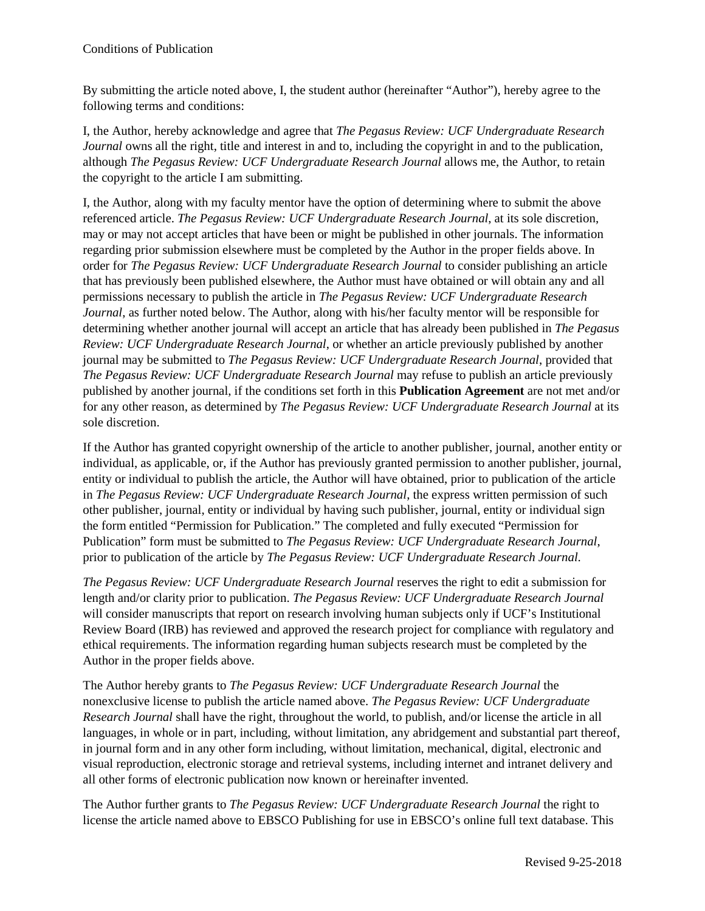By submitting the article noted above, I, the student author (hereinafter "Author"), hereby agree to the following terms and conditions:

I, the Author, hereby acknowledge and agree that *The Pegasus Review: UCF Undergraduate Research Journal* owns all the right, title and interest in and to, including the copyright in and to the publication, although *The Pegasus Review: UCF Undergraduate Research Journal* allows me, the Author, to retain the copyright to the article I am submitting.

I, the Author, along with my faculty mentor have the option of determining where to submit the above referenced article. *The Pegasus Review: UCF Undergraduate Research Journal*, at its sole discretion, may or may not accept articles that have been or might be published in other journals. The information regarding prior submission elsewhere must be completed by the Author in the proper fields above. In order for *The Pegasus Review: UCF Undergraduate Research Journal* to consider publishing an article that has previously been published elsewhere, the Author must have obtained or will obtain any and all permissions necessary to publish the article in *The Pegasus Review: UCF Undergraduate Research Journal*, as further noted below. The Author, along with his/her faculty mentor will be responsible for determining whether another journal will accept an article that has already been published in *The Pegasus Review: UCF Undergraduate Research Journal*, or whether an article previously published by another journal may be submitted to *The Pegasus Review: UCF Undergraduate Research Journal*, provided that *The Pegasus Review: UCF Undergraduate Research Journal* may refuse to publish an article previously published by another journal, if the conditions set forth in this **Publication Agreement** are not met and/or for any other reason, as determined by *The Pegasus Review: UCF Undergraduate Research Journal* at its sole discretion.

If the Author has granted copyright ownership of the article to another publisher, journal, another entity or individual, as applicable, or, if the Author has previously granted permission to another publisher, journal, entity or individual to publish the article, the Author will have obtained, prior to publication of the article in *The Pegasus Review: UCF Undergraduate Research Journal*, the express written permission of such other publisher, journal, entity or individual by having such publisher, journal, entity or individual sign the form entitled "Permission for Publication." The completed and fully executed "Permission for Publication" form must be submitted to *The Pegasus Review: UCF Undergraduate Research Journal*, prior to publication of the article by *The Pegasus Review: UCF Undergraduate Research Journal*.

*The Pegasus Review: UCF Undergraduate Research Journal* reserves the right to edit a submission for length and/or clarity prior to publication. *The Pegasus Review: UCF Undergraduate Research Journal* will consider manuscripts that report on research involving human subjects only if UCF's Institutional Review Board (IRB) has reviewed and approved the research project for compliance with regulatory and ethical requirements. The information regarding human subjects research must be completed by the Author in the proper fields above.

The Author hereby grants to *The Pegasus Review: UCF Undergraduate Research Journal* the nonexclusive license to publish the article named above. *The Pegasus Review: UCF Undergraduate Research Journal* shall have the right, throughout the world, to publish, and/or license the article in all languages, in whole or in part, including, without limitation, any abridgement and substantial part thereof, in journal form and in any other form including, without limitation, mechanical, digital, electronic and visual reproduction, electronic storage and retrieval systems, including internet and intranet delivery and all other forms of electronic publication now known or hereinafter invented.

The Author further grants to *The Pegasus Review: UCF Undergraduate Research Journal* the right to license the article named above to EBSCO Publishing for use in EBSCO's online full text database. This